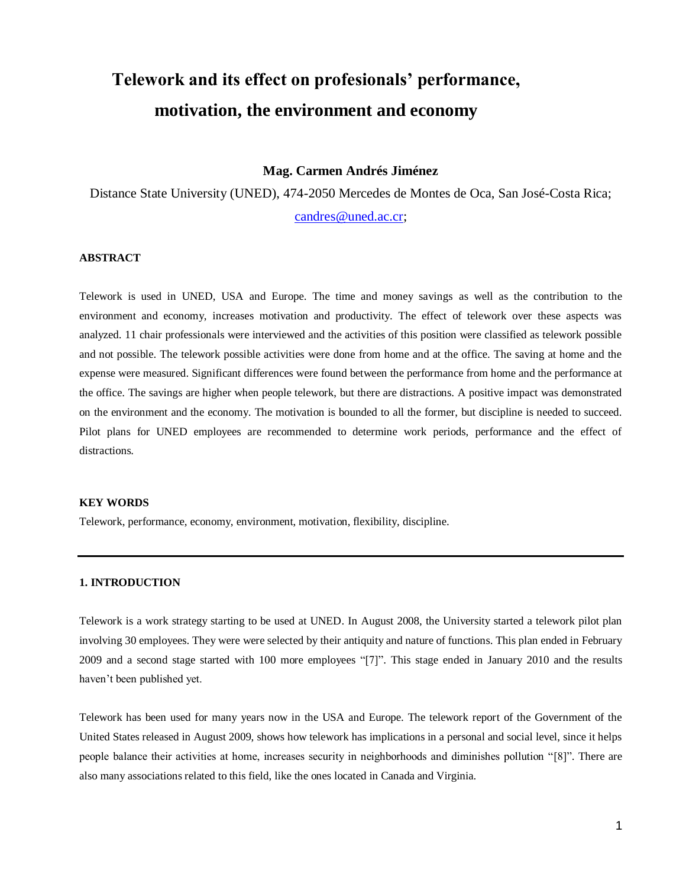# **Telework and its effect on profesionals' performance, motivation, the environment and economy**

#### **Mag. Carmen Andrés Jiménez**

Distance State University (UNED), 474-2050 Mercedes de Montes de Oca, San José-Costa Rica;

[candres@uned.ac.cr;](mailto:candres@uned.ac.cr)

# **ABSTRACT**

Telework is used in UNED, USA and Europe. The time and money savings as well as the contribution to the environment and economy, increases motivation and productivity. The effect of telework over these aspects was analyzed. 11 chair professionals were interviewed and the activities of this position were classified as telework possible and not possible. The telework possible activities were done from home and at the office. The saving at home and the expense were measured. Significant differences were found between the performance from home and the performance at the office. The savings are higher when people telework, but there are distractions. A positive impact was demonstrated on the environment and the economy. The motivation is bounded to all the former, but discipline is needed to succeed. Pilot plans for UNED employees are recommended to determine work periods, performance and the effect of distractions.

#### **KEY WORDS**

Telework, performance, economy, environment, motivation, flexibility, discipline.

#### **1. INTRODUCTION**

Telework is a work strategy starting to be used at UNED. In August 2008, the University started a telework pilot plan involving 30 employees. They were were selected by their antiquity and nature of functions. This plan ended in February 2009 and a second stage started with 100 more employees "[7]". This stage ended in January 2010 and the results haven't been published yet.

Telework has been used for many years now in the USA and Europe. The telework report of the Government of the United States released in August 2009, shows how telework has implications in a personal and social level, since it helps people balance their activities at home, increases security in neighborhoods and diminishes pollution "[8]". There are also many associations related to this field, like the ones located in Canada and Virginia.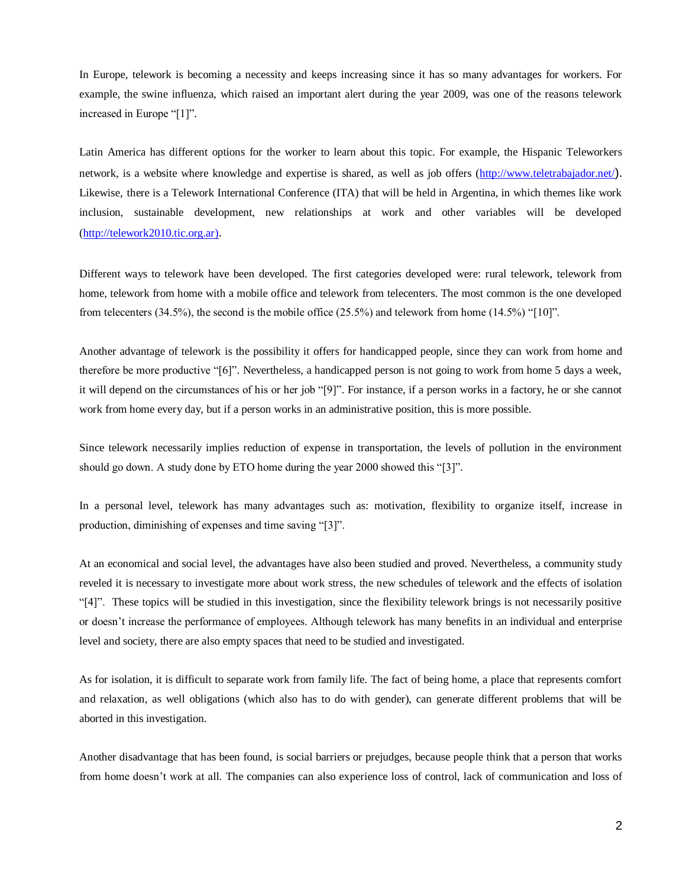In Europe, telework is becoming a necessity and keeps increasing since it has so many advantages for workers. For example, the swine influenza, which raised an important alert during the year 2009, was one of the reasons telework increased in Europe "[1]".

Latin America has different options for the worker to learn about this topic. For example, the Hispanic Teleworkers network, is a website where knowledge and expertise is shared, as well as job offers [\(http://www.teletrabajador.net/](http://www.teletrabajador.net/)). Likewise, there is a Telework International Conference (ITA) that will be held in Argentina, in which themes like work inclusion, sustainable development, new relationships at work and other variables will be developed [\(http://telework2010.tic.org.ar\)](http://telework2010.tic.org.ar/).

Different ways to telework have been developed. The first categories developed were: rural telework, telework from home, telework from home with a mobile office and telework from telecenters. The most common is the one developed from telecenters  $(34.5\%)$ , the second is the mobile office  $(25.5\%)$  and telework from home  $(14.5\%)$  "[10]".

Another advantage of telework is the possibility it offers for handicapped people, since they can work from home and therefore be more productive "[6]". Nevertheless, a handicapped person is not going to work from home 5 days a week, it will depend on the circumstances of his or her job "[9]". For instance, if a person works in a factory, he or she cannot work from home every day, but if a person works in an administrative position, this is more possible.

Since telework necessarily implies reduction of expense in transportation, the levels of pollution in the environment should go down. A study done by ETO home during the year 2000 showed this "[3]".

In a personal level, telework has many advantages such as: motivation, flexibility to organize itself, increase in production, diminishing of expenses and time saving "[3]".

At an economical and social level, the advantages have also been studied and proved. Nevertheless, a community study reveled it is necessary to investigate more about work stress, the new schedules of telework and the effects of isolation "[4]". These topics will be studied in this investigation, since the flexibility telework brings is not necessarily positive or doesn't increase the performance of employees. Although telework has many benefits in an individual and enterprise level and society, there are also empty spaces that need to be studied and investigated.

As for isolation, it is difficult to separate work from family life. The fact of being home, a place that represents comfort and relaxation, as well obligations (which also has to do with gender), can generate different problems that will be aborted in this investigation.

Another disadvantage that has been found, is social barriers or prejudges, because people think that a person that works from home doesn't work at all. The companies can also experience loss of control, lack of communication and loss of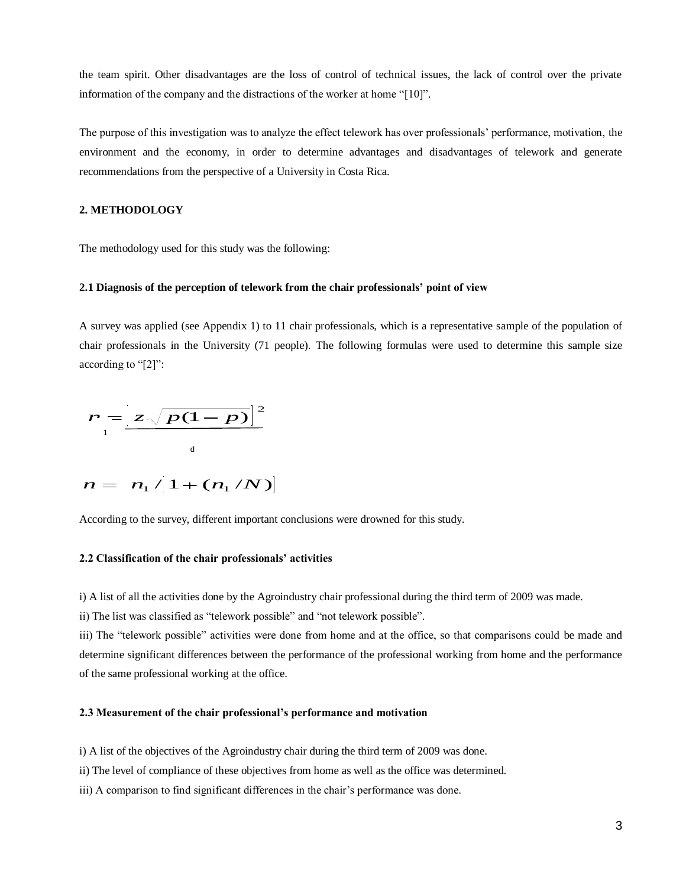the team spirit. Other disadvantages are the loss of control of technical issues, the lack of control over the private information of the company and the distractions of the worker at home "[10]".

The purpose of this investigation was to analyze the effect telework has over professionals' performance, motivation, the environment and the economy, in order to determine advantages and disadvantages of telework and generate recommendations from the perspective of a University in Costa Rica.

# **2. METHODOLOGY**

The methodology used for this study was the following:

#### **2.1 Diagnosis of the perception of telework from the chair professionals' point of view**

A survey was applied (see Appendix 1) to 11 chair professionals, which is a representative sample of the population of chair professionals in the University (71 people). The following formulas were used to determine this sample size according to "[2]":

$$
r = \frac{z\sqrt{p(1-p)}}{4}
$$
  

$$
n = n_1 / 1 + (n_1 / N)
$$

According to the survey, different important conclusions were drowned for this study.

#### **2.2 Classification of the chair professionals' activities**

i) A list of all the activities done by the Agroindustry chair professional during the third term of 2009 was made.

ii) The list was classified as "telework possible" and "not telework possible".

iii) The "telework possible" activities were done from home and at the office, so that comparisons could be made and determine significant differences between the performance of the professional working from home and the performance of the same professional working at the office.

#### **2.3 Measurement of the chair professional's performance and motivation**

i) A list of the objectives of the Agroindustry chair during the third term of 2009 was done.

ii) The level of compliance of these objectives from home as well as the office was determined.

iii) A comparison to find significant differences in the chair's performance was done.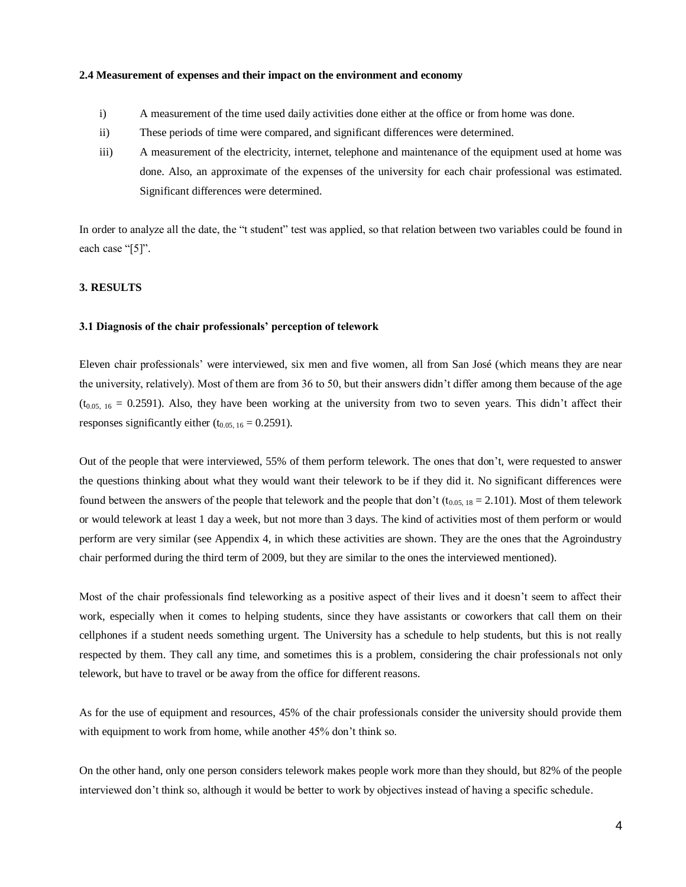#### **2.4 Measurement of expenses and their impact on the environment and economy**

- i) A measurement of the time used daily activities done either at the office or from home was done.
- ii) These periods of time were compared, and significant differences were determined.
- iii) A measurement of the electricity, internet, telephone and maintenance of the equipment used at home was done. Also, an approximate of the expenses of the university for each chair professional was estimated. Significant differences were determined.

In order to analyze all the date, the "t student" test was applied, so that relation between two variables could be found in each case "[5]".

#### **3. RESULTS**

#### **3.1 Diagnosis of the chair professionals' perception of telework**

Eleven chair professionals' were interviewed, six men and five women, all from San José (which means they are near the university, relatively). Most of them are from 36 to 50, but their answers didn't differ among them because of the age  $(t_{0.05, 16} = 0.2591)$ . Also, they have been working at the university from two to seven years. This didn't affect their responses significantly either  $(t_{0.05, 16} = 0.2591)$ .

Out of the people that were interviewed, 55% of them perform telework. The ones that don't, were requested to answer the questions thinking about what they would want their telework to be if they did it. No significant differences were found between the answers of the people that telework and the people that don't ( $t_{0.05, 18} = 2.101$ ). Most of them telework or would telework at least 1 day a week, but not more than 3 days. The kind of activities most of them perform or would perform are very similar (see Appendix 4, in which these activities are shown. They are the ones that the Agroindustry chair performed during the third term of 2009, but they are similar to the ones the interviewed mentioned).

Most of the chair professionals find teleworking as a positive aspect of their lives and it doesn't seem to affect their work, especially when it comes to helping students, since they have assistants or coworkers that call them on their cellphones if a student needs something urgent. The University has a schedule to help students, but this is not really respected by them. They call any time, and sometimes this is a problem, considering the chair professionals not only telework, but have to travel or be away from the office for different reasons.

As for the use of equipment and resources, 45% of the chair professionals consider the university should provide them with equipment to work from home, while another 45% don't think so.

On the other hand, only one person considers telework makes people work more than they should, but 82% of the people interviewed don't think so, although it would be better to work by objectives instead of having a specific schedule.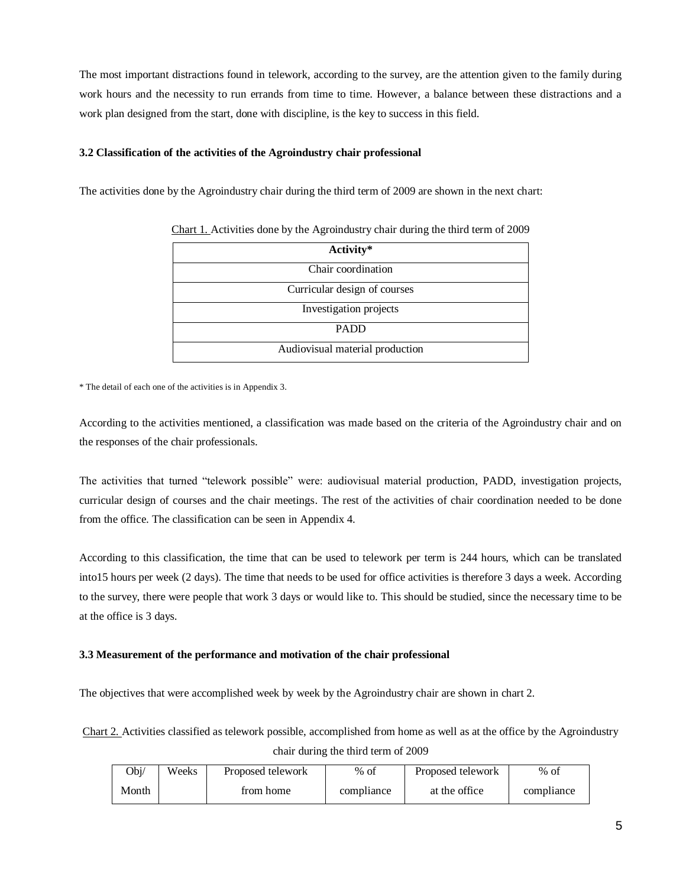The most important distractions found in telework, according to the survey, are the attention given to the family during work hours and the necessity to run errands from time to time. However, a balance between these distractions and a work plan designed from the start, done with discipline, is the key to success in this field.

#### **3.2 Classification of the activities of the Agroindustry chair professional**

The activities done by the Agroindustry chair during the third term of 2009 are shown in the next chart:

| Activity*                       |
|---------------------------------|
| Chair coordination              |
| Curricular design of courses    |
| Investigation projects          |
| <b>PADD</b>                     |
| Audiovisual material production |

Chart 1. Activities done by the Agroindustry chair during the third term of 2009

\* The detail of each one of the activities is in Appendix 3.

According to the activities mentioned, a classification was made based on the criteria of the Agroindustry chair and on the responses of the chair professionals.

The activities that turned "telework possible" were: audiovisual material production, PADD, investigation projects, curricular design of courses and the chair meetings. The rest of the activities of chair coordination needed to be done from the office. The classification can be seen in Appendix 4.

According to this classification, the time that can be used to telework per term is 244 hours, which can be translated into15 hours per week (2 days). The time that needs to be used for office activities is therefore 3 days a week. According to the survey, there were people that work 3 days or would like to. This should be studied, since the necessary time to be at the office is 3 days.

#### **3.3 Measurement of the performance and motivation of the chair professional**

The objectives that were accomplished week by week by the Agroindustry chair are shown in chart 2.

Chart 2. Activities classified as telework possible, accomplished from home as well as at the office by the Agroindustry chair during the third term of 2009

| Obj/  | Weeks | Proposed telework | $%$ of     | Proposed telework | $%$ of     |
|-------|-------|-------------------|------------|-------------------|------------|
| Month |       | from home         | compliance | at the office     | compliance |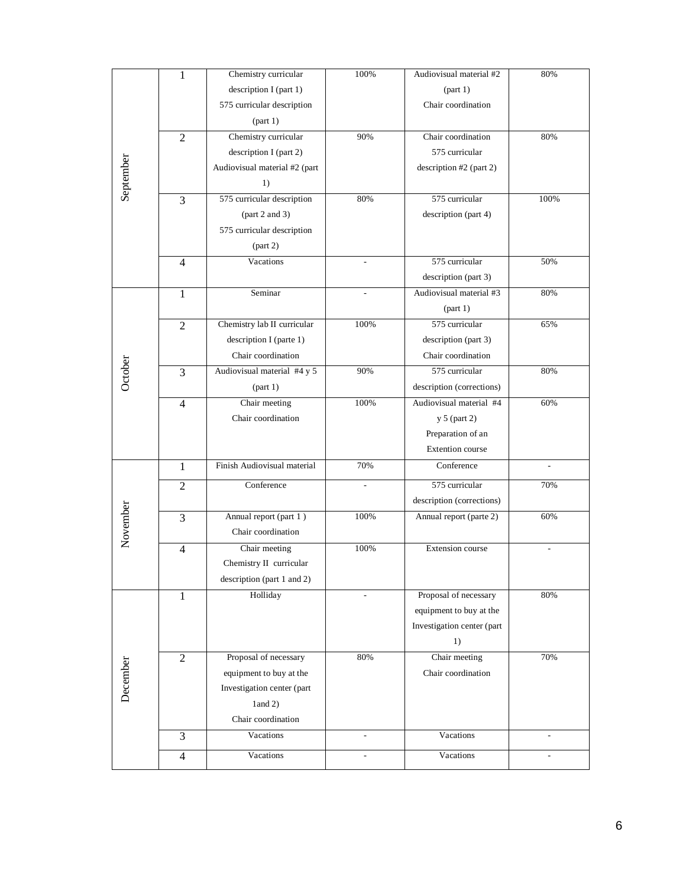|           | 1              | Chemistry curricular          | 100%                     | Audiovisual material #2    | 80%            |
|-----------|----------------|-------------------------------|--------------------------|----------------------------|----------------|
|           |                | description I (part 1)        |                          | part 1)                    |                |
|           |                | 575 curricular description    |                          | Chair coordination         |                |
|           |                | (part 1)                      |                          |                            |                |
|           | $\overline{2}$ | Chemistry curricular          | 90%                      | Chair coordination         | 80%            |
|           |                | description I (part 2)        |                          | 575 curricular             |                |
|           |                | Audiovisual material #2 (part |                          | description #2 (part 2)    |                |
| September |                | 1)                            |                          |                            |                |
|           | 3              | 575 curricular description    | 80%                      | 575 curricular             | 100%           |
|           |                | part 2 and 3)                 |                          | description (part 4)       |                |
|           |                | 575 curricular description    |                          |                            |                |
|           |                | part 2)                       |                          |                            |                |
|           | $\overline{4}$ | Vacations                     |                          | 575 curricular             | 50%            |
|           |                |                               |                          | description (part 3)       |                |
|           | 1              | Seminar                       | $\overline{a}$           | Audiovisual material #3    | 80%            |
|           |                |                               |                          | part 1)                    |                |
|           | $\mathfrak{2}$ | Chemistry lab II curricular   | 100%                     | 575 curricular             | 65%            |
|           |                | description I (parte 1)       |                          | description (part 3)       |                |
|           |                | Chair coordination            |                          | Chair coordination         |                |
| October   | 3              | Audiovisual material #4 y 5   | 90%                      | 575 curricular             | 80%            |
|           |                | (part 1)                      |                          | description (corrections)  |                |
|           | $\overline{4}$ | Chair meeting                 | 100%                     | Audiovisual material #4    | 60%            |
|           |                | Chair coordination            |                          | y 5 (part 2)               |                |
|           |                |                               |                          | Preparation of an          |                |
|           |                |                               |                          | <b>Extention</b> course    |                |
|           | $\mathbf{1}$   | Finish Audiovisual material   | 70%                      | Conference                 |                |
|           | $\overline{2}$ | Conference                    | $\overline{\phantom{m}}$ | 575 curricular             | 70%            |
|           |                |                               |                          | description (corrections)  |                |
|           | 3              | Annual report (part 1)        | 100%                     | Annual report (parte 2)    | 60%            |
| November  |                | Chair coordination            |                          |                            |                |
|           | $\overline{4}$ | Chair meeting                 | 100%                     | Extension course           |                |
|           |                | Chemistry II curricular       |                          |                            |                |
|           |                | description (part 1 and 2)    |                          |                            |                |
|           | $\mathbf{1}$   | Holliday                      | $\overline{a}$           | Proposal of necessary      | 80%            |
|           |                |                               |                          | equipment to buy at the    |                |
|           |                |                               |                          | Investigation center (part |                |
|           |                |                               |                          | 1)                         |                |
|           | $\overline{2}$ | Proposal of necessary         | 80%                      | Chair meeting              | 70%            |
| December  |                | equipment to buy at the       |                          | Chair coordination         |                |
|           |                | Investigation center (part    |                          |                            |                |
|           |                | $1$ and $2)$                  |                          |                            |                |
|           |                | Chair coordination            |                          |                            |                |
|           | 3              | Vacations                     | $\overline{\phantom{a}}$ | Vacations                  | $\overline{a}$ |
|           | $\overline{4}$ | Vacations                     |                          | Vacations                  |                |
|           |                |                               |                          |                            |                |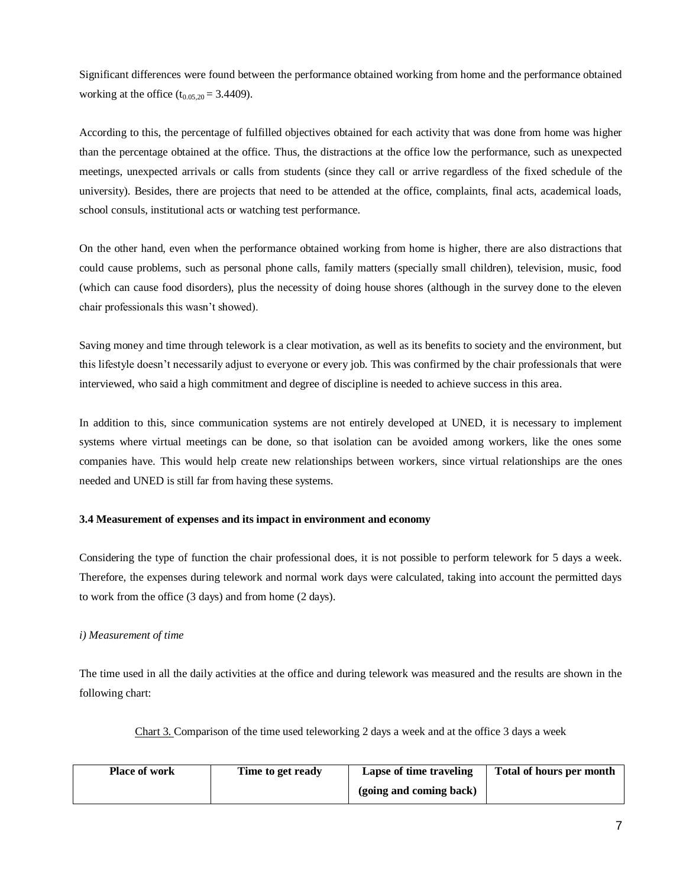Significant differences were found between the performance obtained working from home and the performance obtained working at the office  $(t_{0.05,20} = 3.4409)$ .

According to this, the percentage of fulfilled objectives obtained for each activity that was done from home was higher than the percentage obtained at the office. Thus, the distractions at the office low the performance, such as unexpected meetings, unexpected arrivals or calls from students (since they call or arrive regardless of the fixed schedule of the university). Besides, there are projects that need to be attended at the office, complaints, final acts, academical loads, school consuls, institutional acts or watching test performance.

On the other hand, even when the performance obtained working from home is higher, there are also distractions that could cause problems, such as personal phone calls, family matters (specially small children), television, music, food (which can cause food disorders), plus the necessity of doing house shores (although in the survey done to the eleven chair professionals this wasn't showed).

Saving money and time through telework is a clear motivation, as well as its benefits to society and the environment, but this lifestyle doesn't necessarily adjust to everyone or every job. This was confirmed by the chair professionals that were interviewed, who said a high commitment and degree of discipline is needed to achieve success in this area.

In addition to this, since communication systems are not entirely developed at UNED, it is necessary to implement systems where virtual meetings can be done, so that isolation can be avoided among workers, like the ones some companies have. This would help create new relationships between workers, since virtual relationships are the ones needed and UNED is still far from having these systems.

# **3.4 Measurement of expenses and its impact in environment and economy**

Considering the type of function the chair professional does, it is not possible to perform telework for 5 days a week. Therefore, the expenses during telework and normal work days were calculated, taking into account the permitted days to work from the office (3 days) and from home (2 days).

# *i) Measurement of time*

The time used in all the daily activities at the office and during telework was measured and the results are shown in the following chart:

Chart 3. Comparison of the time used teleworking 2 days a week and at the office 3 days a week

| <b>Place of work</b> | Time to get ready | Lapse of time traveling | Total of hours per month |
|----------------------|-------------------|-------------------------|--------------------------|
|                      |                   | (going and coming back) |                          |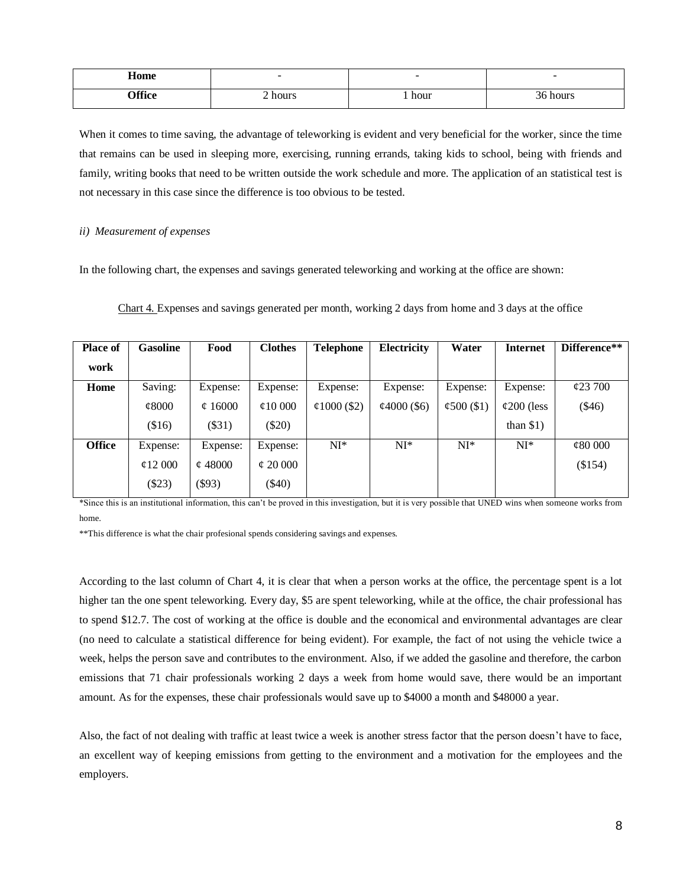| Home        | $\overline{\phantom{a}}$ | $\overline{\phantom{a}}$ | $\overline{\phantom{a}}$ |
|-------------|--------------------------|--------------------------|--------------------------|
| ንድድ.        | $\sim$                   | 1 hour                   | 0.1140                   |
| <b>. 00</b> | hours                    |                          | س الماء.                 |
| ____        |                          |                          |                          |

When it comes to time saving, the advantage of teleworking is evident and very beneficial for the worker, since the time that remains can be used in sleeping more, exercising, running errands, taking kids to school, being with friends and family, writing books that need to be written outside the work schedule and more. The application of an statistical test is not necessary in this case since the difference is too obvious to be tested.

#### *ii) Measurement of expenses*

In the following chart, the expenses and savings generated teleworking and working at the office are shown:

| Place of      | <b>Gasoline</b>   | Food         | <b>Clothes</b> | <b>Telephone</b>  | Electricity       | Water            | <b>Internet</b>     | Difference**  |
|---------------|-------------------|--------------|----------------|-------------------|-------------------|------------------|---------------------|---------------|
| work          |                   |              |                |                   |                   |                  |                     |               |
| Home          | Saving:           | Expense:     | Expense:       | Expense:          | Expense:          | Expense:         | Expense:            | $\&23\,700$   |
|               | $\mathcal{C}8000$ | $\phi$ 16000 | $\phi$ 10 000  | $\phi$ 1000 (\$2) | $\phi$ 4000 (\$6) | $\phi$ 500 (\$1) | $\varphi$ 200 (less | $(\$46)$      |
|               | \$16)             | $(\$31)$     | $(\$20)$       |                   |                   |                  | than $$1)$          |               |
| <b>Office</b> | Expense:          | Expense:     | Expense:       | $NI^*$            | $NI^*$            | $NI^*$           | $NI^*$              | $\phi$ 80 000 |
|               | $\phi$ 12 000     | $\phi$ 48000 | $\phi$ 20 000  |                   |                   |                  |                     | (\$154)       |
|               | $(\$23)$          | $(\$93)$     | $(\$40)$       |                   |                   |                  |                     |               |
|               |                   |              |                |                   |                   |                  |                     |               |

Chart 4. Expenses and savings generated per month, working 2 days from home and 3 days at the office

\*Since this is an institutional information, this can't be proved in this investigation, but it is very possible that UNED wins when someone works from home.

\*\*This difference is what the chair profesional spends considering savings and expenses.

According to the last column of Chart 4, it is clear that when a person works at the office, the percentage spent is a lot higher tan the one spent teleworking. Every day, \$5 are spent teleworking, while at the office, the chair professional has to spend \$12.7. The cost of working at the office is double and the economical and environmental advantages are clear (no need to calculate a statistical difference for being evident). For example, the fact of not using the vehicle twice a week, helps the person save and contributes to the environment. Also, if we added the gasoline and therefore, the carbon emissions that 71 chair professionals working 2 days a week from home would save, there would be an important amount. As for the expenses, these chair professionals would save up to \$4000 a month and \$48000 a year.

Also, the fact of not dealing with traffic at least twice a week is another stress factor that the person doesn't have to face, an excellent way of keeping emissions from getting to the environment and a motivation for the employees and the employers.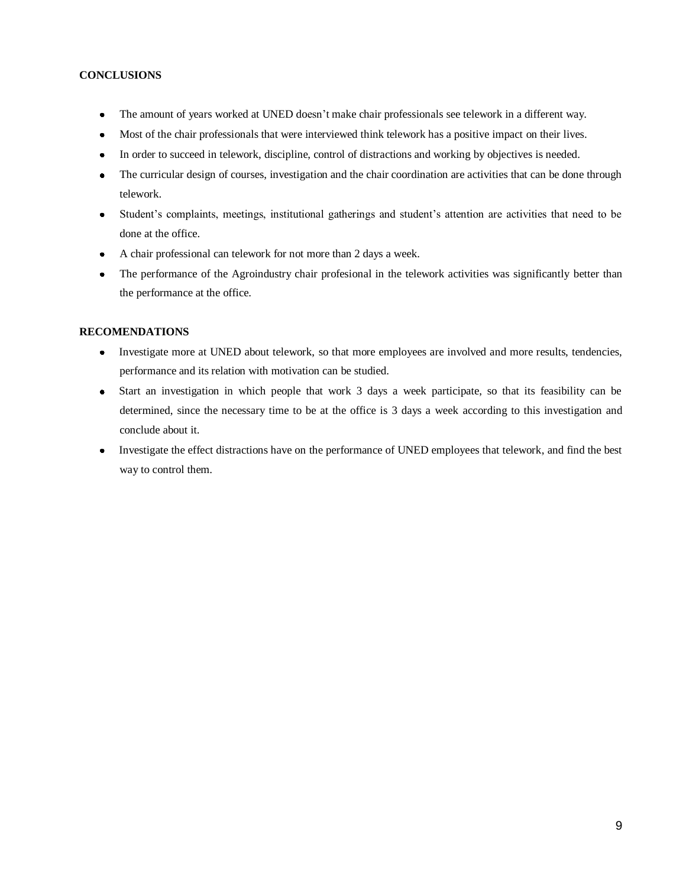# **CONCLUSIONS**

- The amount of years worked at UNED doesn't make chair professionals see telework in a different way.  $\bullet$
- Most of the chair professionals that were interviewed think telework has a positive impact on their lives.  $\bullet$
- In order to succeed in telework, discipline, control of distractions and working by objectives is needed.  $\bullet$
- The curricular design of courses, investigation and the chair coordination are activities that can be done through  $\bullet$ telework.
- Student's complaints, meetings, institutional gatherings and student's attention are activities that need to be  $\bullet$ done at the office.
- A chair professional can telework for not more than 2 days a week.  $\bullet$
- The performance of the Agroindustry chair profesional in the telework activities was significantly better than  $\bullet$ the performance at the office.

# **RECOMENDATIONS**

- Investigate more at UNED about telework, so that more employees are involved and more results, tendencies,  $\bullet$ performance and its relation with motivation can be studied.
- Start an investigation in which people that work 3 days a week participate, so that its feasibility can be  $\bullet$ determined, since the necessary time to be at the office is 3 days a week according to this investigation and conclude about it.
- Investigate the effect distractions have on the performance of UNED employees that telework, and find the best way to control them.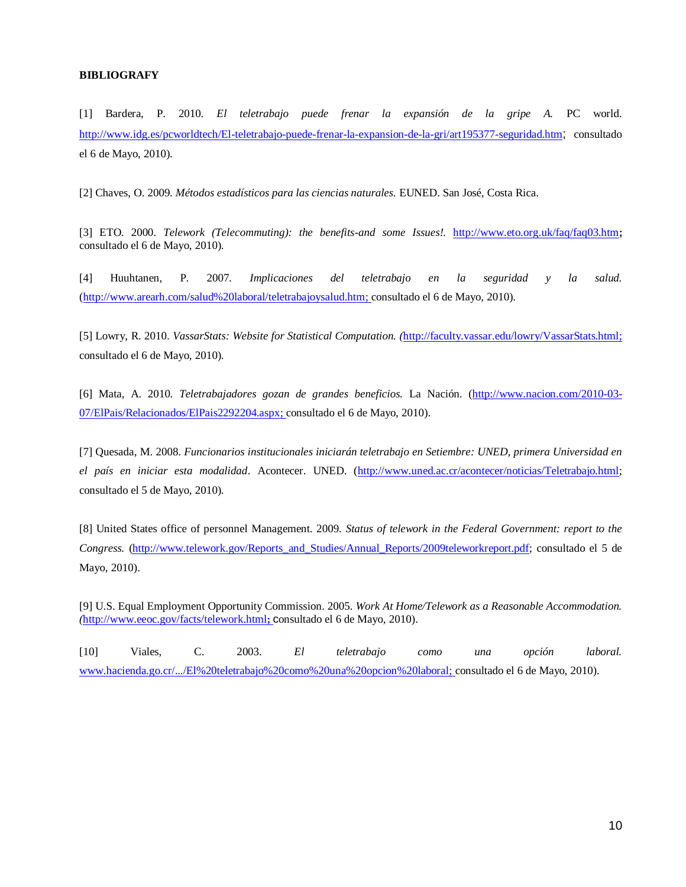#### **BIBLIOGRAFY**

[1] Bardera, P. 2010. *El teletrabajo puede frenar la expansión de la gripe A.* PC world. <http://www.idg.es/pcworldtech/El-teletrabajo-puede-frenar-la-expansion-de-la-gri/art195377-seguridad.htm>; consultado el 6 de Mayo, 2010).

[2] Chaves, O. 2009. *Métodos estadísticos para las ciencias naturales.* EUNED. San José, Costa Rica.

[3] ETO. 2000. *Telework (Telecommuting): the benefits-and some Issues!.* <http://www.eto.org.uk/faq/faq03.htm>**;**  consultado el 6 de Mayo, 2010).

[4] Huuhtanen, P. 2007. *Implicaciones del teletrabajo en la seguridad y la salud.*  [\(http://www.arearh.com/salud%20laboral/teletrabajoysalud.htm;](http://www.arearh.com/salud%20laboral/teletrabajoysalud.htm) consultado el 6 de Mayo, 2010).

[5] Lowry, R. 2010. *VassarStats: Website for Statistical Computation. (*[http://faculty.vassar.edu/lowry/VassarStats.html;](http://faculty.vassar.edu/lowry/VassarStats.html) consultado el 6 de Mayo, 2010).

[6] Mata, A. 2010. *Teletrabajadores gozan de grandes beneficios.* La Nación. [\(http://www.nacion.com/2010-03-](http://www.nacion.com/2010-03-07/ElPais/Relacionados/ElPais2292204.aspx) [07/ElPais/Relacionados/ElPais2292204.aspx;](http://www.nacion.com/2010-03-07/ElPais/Relacionados/ElPais2292204.aspx) consultado el 6 de Mayo, 2010).

[7] Quesada, M. 2008. *Funcionarios institucionales iniciarán teletrabajo en Setiembre: UNED, primera Universidad en el país en iniciar esta modalidad*. Acontecer. UNED. [\(http://www.uned.ac.cr/acontecer/noticias/Teletrabajo.html;](http://www.uned.ac.cr/acontecer/noticias/Teletrabajo.html) consultado el 5 de Mayo, 2010).

[8] United States office of personnel Management. 2009. *Status of telework in the Federal Government: report to the Congress.* [\(http://www.telework.gov/Reports\\_and\\_Studies/Annual\\_Reports/2009teleworkreport.pdf;](http://www.telework.gov/Reports_and_Studies/Annual_Reports/2009teleworkreport.pdf) consultado el 5 de Mayo, 2010).

[9] U.S. Equal Employment Opportunity Commission. 2005. *Work At Home/Telework as a Reasonable Accommodation. (*<http://www.eeoc.gov/facts/telework.html>**;** consultado el 6 de Mayo, 2010).

[10] Viales, C. 2003. *El teletrabajo como una opción laboral.*  [www.hacienda.go.cr/.../El%20teletrabajo%20como%20una%20opcion%20laboral;](http://www.hacienda.go.cr/.../El%20teletrabajo%20como%20una%20opcion%20laboral) consultado el 6 de Mayo, 2010).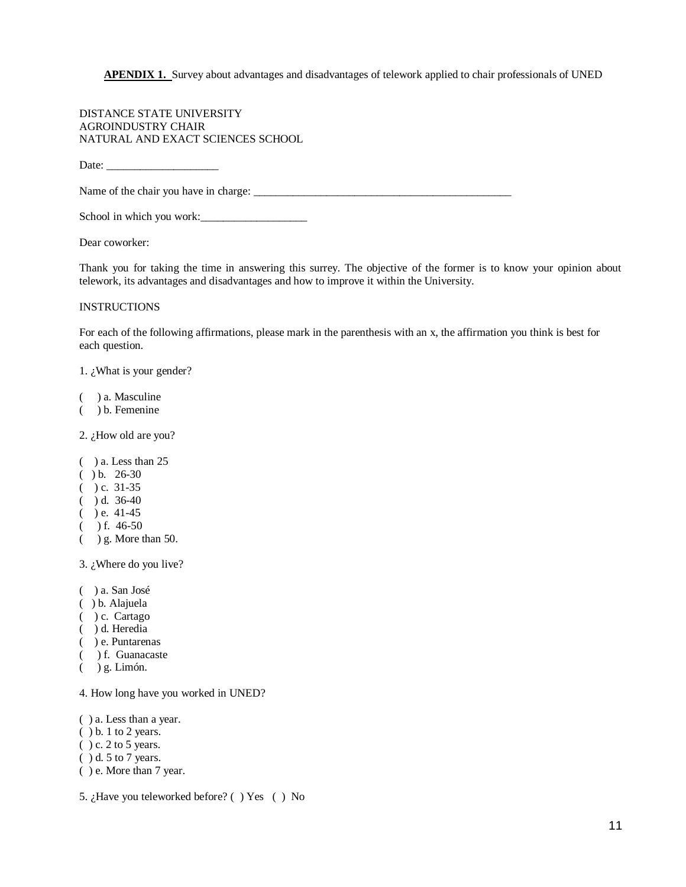**APENDIX 1.** Survey about advantages and disadvantages of telework applied to chair professionals of UNED

DISTANCE STATE UNIVERSITY AGROINDUSTRY CHAIR NATURAL AND EXACT SCIENCES SCHOOL

Date:

Name of the chair you have in charge: \_\_\_\_\_\_\_\_\_\_\_\_\_\_\_\_\_\_\_\_\_\_\_\_\_\_\_\_\_\_\_\_\_\_\_\_\_\_\_\_\_\_\_\_\_\_

School in which you work:\_\_\_\_\_\_\_\_\_\_\_\_\_\_\_\_\_\_\_

Dear coworker:

Thank you for taking the time in answering this surrey. The objective of the former is to know your opinion about telework, its advantages and disadvantages and how to improve it within the University.

#### INSTRUCTIONS

For each of the following affirmations, please mark in the parenthesis with an x, the affirmation you think is best for each question.

1. ¿What is your gender?

- ( ) a. Masculine
- ( ) b. Femenine

2. ¿How old are you?

- ( ) a. Less than 25
- $() b. 26-30$
- $()$  c. 31-35
- $()$  d. 36-40
- $($  ) e. 41-45
- $($  ) f. 46-50
- ( ) g. More than 50.

3. ¿Where do you live?

- ( ) a. San José
- ( ) b. Alajuela
- ( ) c. Cartago
- ( ) d. Heredia
- ( ) e. Puntarenas
- ( ) f. Guanacaste
- ( ) g. Limón.

4. How long have you worked in UNED?

- ( ) a. Less than a year.
- ( ) b. 1 to 2 years.
- $( ) c. 2 to 5 years.$
- ( ) d. 5 to 7 years.
- ( ) e. More than 7 year.
- 5. ¿Have you teleworked before? ( ) Yes ( ) No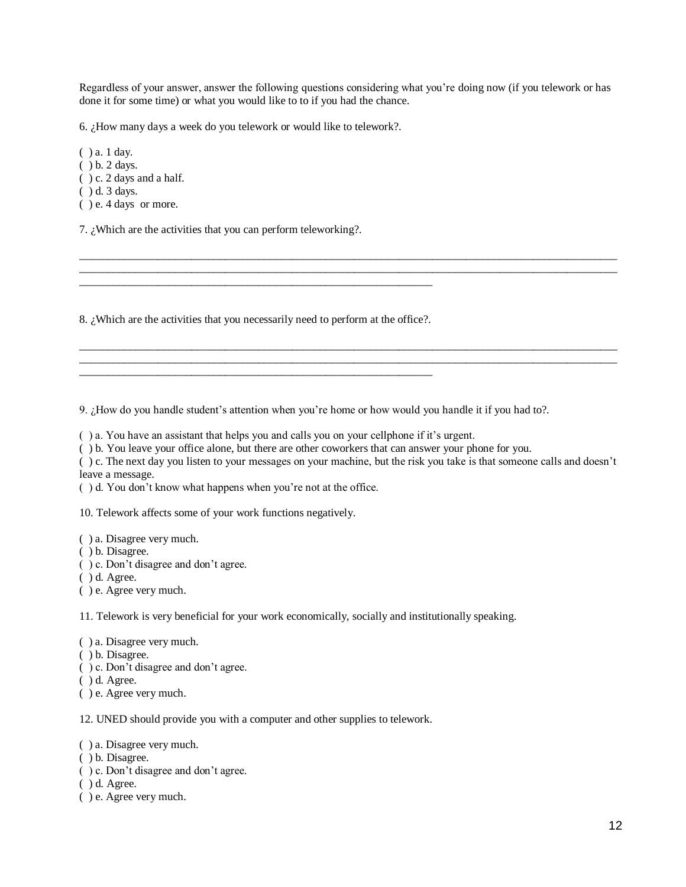Regardless of your answer, answer the following questions considering what you're doing now (if you telework or has done it for some time) or what you would like to to if you had the chance.

\_\_\_\_\_\_\_\_\_\_\_\_\_\_\_\_\_\_\_\_\_\_\_\_\_\_\_\_\_\_\_\_\_\_\_\_\_\_\_\_\_\_\_\_\_\_\_\_\_\_\_\_\_\_\_\_\_\_\_\_\_\_\_\_\_\_\_\_\_\_\_\_\_\_\_\_\_\_\_\_\_\_\_\_\_\_\_\_\_\_\_\_\_\_\_\_  $\_$  ,  $\_$  ,  $\_$  ,  $\_$  ,  $\_$  ,  $\_$  ,  $\_$  ,  $\_$  ,  $\_$  ,  $\_$  ,  $\_$  ,  $\_$  ,  $\_$  ,  $\_$  ,  $\_$  ,  $\_$  ,  $\_$  ,  $\_$  ,  $\_$  ,  $\_$  ,  $\_$  ,  $\_$  ,  $\_$  ,  $\_$  ,  $\_$  ,  $\_$  ,  $\_$  ,  $\_$  ,  $\_$  ,  $\_$  ,  $\_$  ,  $\_$  ,  $\_$  ,  $\_$  ,  $\_$  ,  $\_$  ,  $\_$  ,

\_\_\_\_\_\_\_\_\_\_\_\_\_\_\_\_\_\_\_\_\_\_\_\_\_\_\_\_\_\_\_\_\_\_\_\_\_\_\_\_\_\_\_\_\_\_\_\_\_\_\_\_\_\_\_\_\_\_\_\_\_\_\_\_\_\_\_\_\_\_\_\_\_\_\_\_\_\_\_\_\_\_\_\_\_\_\_\_\_\_\_\_\_\_\_\_  $\_$  ,  $\_$  ,  $\_$  ,  $\_$  ,  $\_$  ,  $\_$  ,  $\_$  ,  $\_$  ,  $\_$  ,  $\_$  ,  $\_$  ,  $\_$  ,  $\_$  ,  $\_$  ,  $\_$  ,  $\_$  ,  $\_$  ,  $\_$  ,  $\_$  ,  $\_$  ,  $\_$  ,  $\_$  ,  $\_$  ,  $\_$  ,  $\_$  ,  $\_$  ,  $\_$  ,  $\_$  ,  $\_$  ,  $\_$  ,  $\_$  ,  $\_$  ,  $\_$  ,  $\_$  ,  $\_$  ,  $\_$  ,  $\_$  ,

6. ¿How many days a week do you telework or would like to telework?.

( ) a. 1 day.

( ) b. 2 days.

( ) c. 2 days and a half.

( ) d. 3 days.

( ) e. 4 days or more.

7. ¿Which are the activities that you can perform teleworking?.

8. ¿Which are the activities that you necessarily need to perform at the office?.

\_\_\_\_\_\_\_\_\_\_\_\_\_\_\_\_\_\_\_\_\_\_\_\_\_\_\_\_\_\_\_\_\_\_\_\_\_\_\_\_\_\_\_\_\_\_\_\_\_\_\_\_\_\_\_\_\_\_\_\_\_\_\_

\_\_\_\_\_\_\_\_\_\_\_\_\_\_\_\_\_\_\_\_\_\_\_\_\_\_\_\_\_\_\_\_\_\_\_\_\_\_\_\_\_\_\_\_\_\_\_\_\_\_\_\_\_\_\_\_\_\_\_\_\_\_\_

9. ¿How do you handle student's attention when you're home or how would you handle it if you had to?.

( ) a. You have an assistant that helps you and calls you on your cellphone if it's urgent.

( ) b. You leave your office alone, but there are other coworkers that can answer your phone for you.

( ) c. The next day you listen to your messages on your machine, but the risk you take is that someone calls and doesn't leave a message.

( ) d. You don't know what happens when you're not at the office.

10. Telework affects some of your work functions negatively.

( ) a. Disagree very much.

( ) b. Disagree.

( ) c. Don't disagree and don't agree.

( ) d. Agree.

( ) e. Agree very much.

11. Telework is very beneficial for your work economically, socially and institutionally speaking.

( ) a. Disagree very much.

( ) b. Disagree.

( ) c. Don't disagree and don't agree.

( ) d. Agree.

( ) e. Agree very much.

12. UNED should provide you with a computer and other supplies to telework.

( ) a. Disagree very much.

- ( ) b. Disagree.
- ( ) c. Don't disagree and don't agree.
- ( ) d. Agree.
- ( ) e. Agree very much.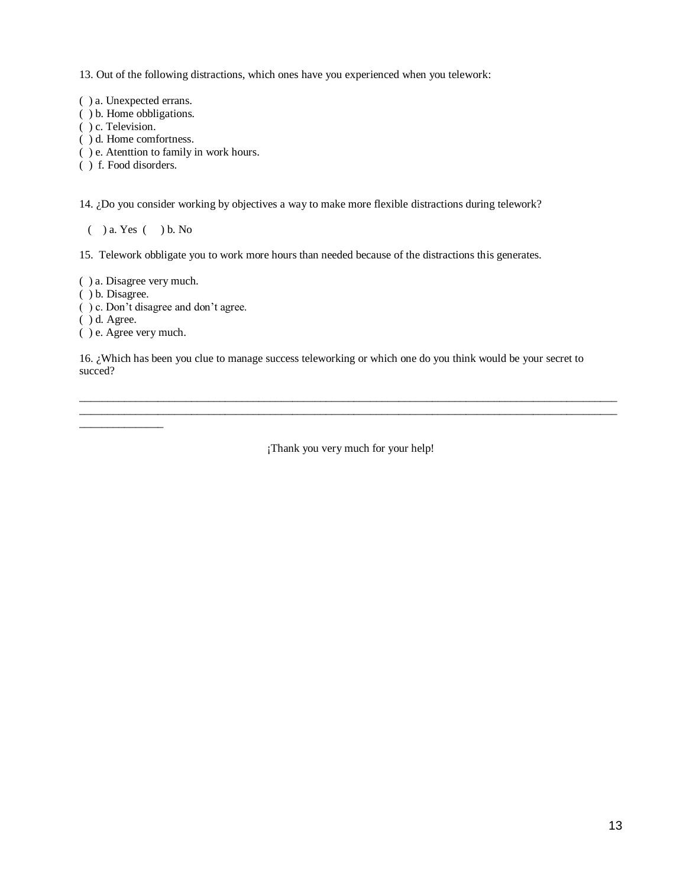13. Out of the following distractions, which ones have you experienced when you telework:

( ) a. Unexpected errans.

( ) b. Home obbligations.

( ) c. Television.

- ( ) d. Home comfortness.
- ( ) e. Atenttion to family in work hours.

( ) f. Food disorders.

14. ¿Do you consider working by objectives a way to make more flexible distractions during telework?

( ) a. Yes ( ) b. No

15. Telework obbligate you to work more hours than needed because of the distractions this generates.

( ) a. Disagree very much.

( ) b. Disagree.

( ) c. Don't disagree and don't agree.

( ) d. Agree.

\_\_\_\_\_\_\_\_\_\_\_\_\_\_\_

( ) e. Agree very much.

16. ¿Which has been you clue to manage success teleworking or which one do you think would be your secret to succed?

¡Thank you very much for your help!

 $\_$  ,  $\_$  ,  $\_$  ,  $\_$  ,  $\_$  ,  $\_$  ,  $\_$  ,  $\_$  ,  $\_$  ,  $\_$  ,  $\_$  ,  $\_$  ,  $\_$  ,  $\_$  ,  $\_$  ,  $\_$  ,  $\_$  ,  $\_$  ,  $\_$  ,  $\_$  ,  $\_$  ,  $\_$  ,  $\_$  ,  $\_$  ,  $\_$  ,  $\_$  ,  $\_$  ,  $\_$  ,  $\_$  ,  $\_$  ,  $\_$  ,  $\_$  ,  $\_$  ,  $\_$  ,  $\_$  ,  $\_$  ,  $\_$  , \_\_\_\_\_\_\_\_\_\_\_\_\_\_\_\_\_\_\_\_\_\_\_\_\_\_\_\_\_\_\_\_\_\_\_\_\_\_\_\_\_\_\_\_\_\_\_\_\_\_\_\_\_\_\_\_\_\_\_\_\_\_\_\_\_\_\_\_\_\_\_\_\_\_\_\_\_\_\_\_\_\_\_\_\_\_\_\_\_\_\_\_\_\_\_\_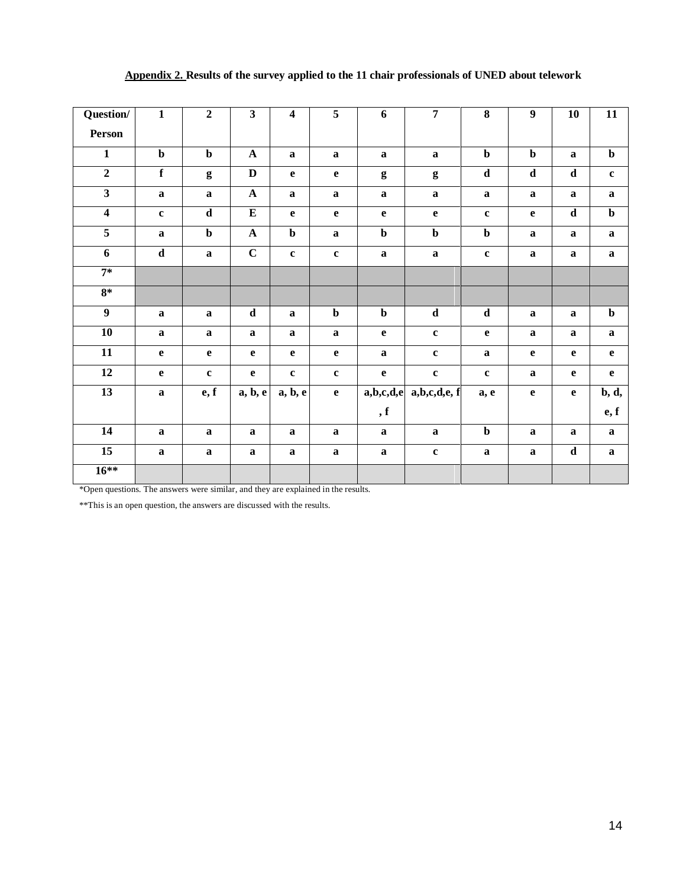| Question/               | $\mathbf{1}$            | $\overline{2}$ | $\overline{\mathbf{3}}$ | $\overline{\mathbf{4}}$ | $\overline{5}$          | $\boldsymbol{6}$        | $\overline{7}$          | $\overline{\mathbf{8}}$ | $\overline{9}$ | 10           | $\overline{11}$         |
|-------------------------|-------------------------|----------------|-------------------------|-------------------------|-------------------------|-------------------------|-------------------------|-------------------------|----------------|--------------|-------------------------|
| Person                  |                         |                |                         |                         |                         |                         |                         |                         |                |              |                         |
| $\mathbf{1}$            | $\mathbf b$             | $\mathbf b$    | ${\bf A}$               | $\mathbf{a}$            | $\mathbf a$             | $\mathbf a$             | $\bf a$                 | $\mathbf b$             | $\mathbf b$    | $\bf a$      | $\mathbf b$             |
| $\overline{2}$          | $\mathbf f$             | $\mathbf{g}$   | $\mathbf D$             | $\mathbf e$             | $\mathbf{e}$            | $\boldsymbol{g}$        | $\mathbf{g}$            | $\mathbf d$             | $\mathbf d$    | $\mathbf d$  | $\mathbf c$             |
| $\overline{\mathbf{3}}$ | $\mathbf{a}$            | $\mathbf a$    | $\mathbf A$             | $\mathbf{a}$            | $\bf a$                 | $\mathbf a$             | $\mathbf a$             | $\mathbf a$             | $\mathbf a$    | $\bf a$      | $\mathbf{a}$            |
| $\overline{\mathbf{4}}$ | $\mathbf c$             | $\mathbf d$    | ${\bf E}$               | $\mathbf e$             | $\mathbf e$             | $\mathbf e$             | $\mathbf{e}$            | $\mathbf c$             | $\mathbf{e}$   | $\mathbf d$  | $\mathbf b$             |
| $\overline{\mathbf{5}}$ | $\mathbf{a}$            | $\mathbf b$    | $\mathbf A$             | $\mathbf b$             | $\mathbf{a}$            | $\mathbf b$             | $\mathbf b$             | $\mathbf b$             | $\mathbf a$    | $\bf a$      | $\mathbf a$             |
| $\overline{6}$          | $\overline{\mathbf{d}}$ | $\bf a$        | $\overline{C}$          | $\mathbf c$             | $\mathbf c$             | $\bf a$                 | $\bf a$                 | $\mathbf c$             | $\bf{a}$       | $\bf a$      | $\mathbf a$             |
| $7*$                    |                         |                |                         |                         |                         |                         |                         |                         |                |              |                         |
| $8*$                    |                         |                |                         |                         |                         |                         |                         |                         |                |              |                         |
| $\overline{9}$          | $\mathbf{a}$            | $\mathbf a$    | $\overline{\mathbf{d}}$ | $\mathbf{a}$            | $\overline{\mathbf{b}}$ | $\overline{\mathbf{b}}$ | $\overline{\mathbf{d}}$ | $\overline{\mathbf{d}}$ | $\bf{a}$       | $\bf a$      | $\overline{\mathbf{b}}$ |
| $\overline{10}$         | $\mathbf{a}$            | $\mathbf a$    | $\mathbf a$             | $\mathbf a$             | $\bf a$                 | $\mathbf e$             | $\mathbf c$             | $\mathbf{e}$            | $\mathbf a$    | $\mathbf a$  | $\mathbf{a}$            |
| $\overline{11}$         | $\mathbf{e}$            | $\mathbf{e}$   | $\mathbf e$             | $\mathbf{e}$            | $\mathbf{e}$            | $\mathbf a$             | $\mathbf c$             | $\mathbf a$             | $\mathbf e$    | $\mathbf{e}$ | $\mathbf e$             |
| $12\,$                  | $\mathbf{e}$            | $\mathbf c$    | $\mathbf e$             | $\mathbf c$             | $\mathbf c$             | $\mathbf{e}$            | $\mathbf c$             | $\mathbf c$             | $\mathbf a$    | $\mathbf{e}$ | $\mathbf{e}$            |
| $\overline{13}$         | $\mathbf{a}$            | e, f           | a, b, e                 | a, b, e                 | $\mathbf{e}$            | a,b,c,d,e               | a,b,c,d,e,f             | a, e                    | $\mathbf e$    | $\mathbf{e}$ | b, d,                   |
|                         |                         |                |                         |                         |                         | , f                     |                         |                         |                |              | e, f                    |
| $\overline{14}$         | $\mathbf{a}$            | $\mathbf a$    | $\mathbf{a}$            | $\mathbf{a}$            | $\mathbf a$             | $\mathbf{a}$            | $\mathbf a$             | $\mathbf b$             | $\mathbf{a}$   | $\mathbf a$  | $\mathbf{a}$            |
| $\overline{15}$         | $\bf{a}$                | $\bf a$        | $\bf a$                 | $\bf a$                 | $\bf a$                 | $\bf a$                 | $\mathbf c$             | $\mathbf a$             | $\bf{a}$       | $\mathbf d$  | $\mathbf{a}$            |
| $16***$                 |                         |                |                         |                         |                         |                         |                         |                         |                |              |                         |
|                         |                         |                |                         |                         |                         |                         |                         |                         |                |              |                         |

# **Appendix 2. Results of the survey applied to the 11 chair professionals of UNED about telework**

\*Open questions. The answers were similar, and they are explained in the results.

\*\*This is an open question, the answers are discussed with the results.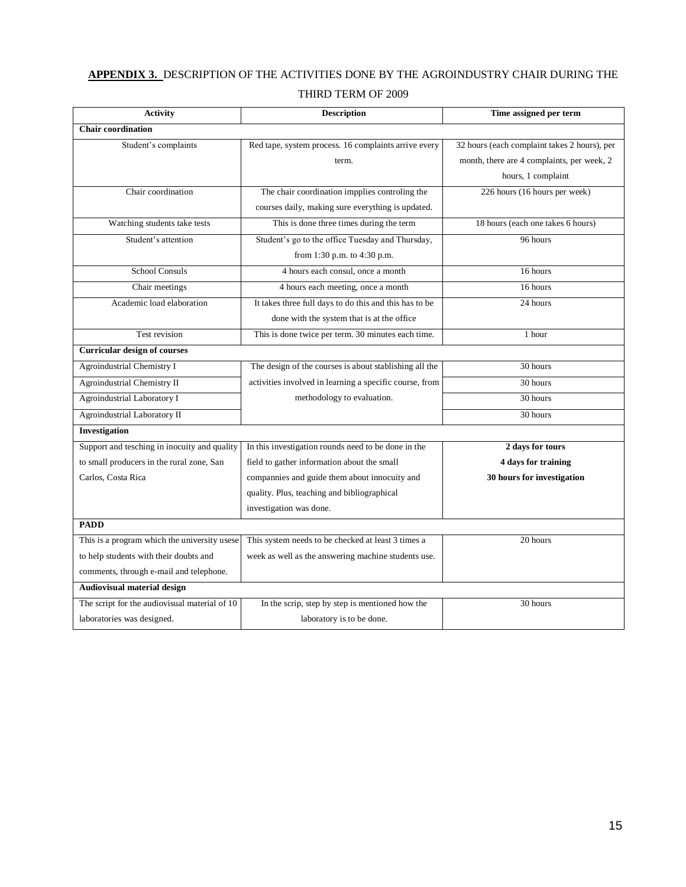# **APPENDIX 3.** DESCRIPTION OF THE ACTIVITIES DONE BY THE AGROINDUSTRY CHAIR DURING THE

# THIRD TERM OF 2009

| <b>Activity</b>                               | <b>Description</b>                                      | Time assigned per term                       |
|-----------------------------------------------|---------------------------------------------------------|----------------------------------------------|
| <b>Chair coordination</b>                     |                                                         |                                              |
| Student's complaints                          | Red tape, system process. 16 complaints arrive every    | 32 hours (each complaint takes 2 hours), per |
|                                               | term.                                                   | month, there are 4 complaints, per week, 2   |
|                                               |                                                         | hours, 1 complaint                           |
| Chair coordination                            | The chair coordination impplies controling the          | 226 hours (16 hours per week)                |
|                                               | courses daily, making sure everything is updated.       |                                              |
| Watching students take tests                  | This is done three times during the term                | 18 hours (each one takes 6 hours)            |
| Student's attention                           | Student's go to the office Tuesday and Thursday,        | 96 hours                                     |
|                                               | from 1:30 p.m. to 4:30 p.m.                             |                                              |
| <b>School Consuls</b>                         | 4 hours each consul, once a month                       | 16 hours                                     |
| Chair meetings                                | 4 hours each meeting, once a month                      | 16 hours                                     |
| Academic load elaboration                     | It takes three full days to do this and this has to be  | 24 hours                                     |
|                                               | done with the system that is at the office              |                                              |
| Test revision                                 | This is done twice per term. 30 minutes each time.      | 1 hour                                       |
| <b>Curricular design of courses</b>           |                                                         |                                              |
| Agroindustrial Chemistry I                    | The design of the courses is about stablishing all the  | 30 hours                                     |
| <b>Agroindustrial Chemistry II</b>            | activities involved in learning a specific course, from | 30 hours                                     |
| Agroindustrial Laboratory I                   | methodology to evaluation.                              | 30 hours                                     |
| Agroindustrial Laboratory II                  |                                                         | 30 hours                                     |
| <b>Investigation</b>                          |                                                         |                                              |
| Support and tesching in inocuity and quality  | In this investigation rounds need to be done in the     | 2 days for tours                             |
| to small producers in the rural zone, San     | field to gather information about the small             | 4 days for training                          |
| Carlos, Costa Rica                            | compannies and guide them about innocuity and           | 30 hours for investigation                   |
|                                               | quality. Plus, teaching and bibliographical             |                                              |
|                                               | investigation was done.                                 |                                              |
| <b>PADD</b>                                   |                                                         |                                              |
| This is a program which the university usese  | This system needs to be checked at least 3 times a      | 20 hours                                     |
| to help students with their doubts and        | week as well as the answering machine students use.     |                                              |
| comments, through e-mail and telephone.       |                                                         |                                              |
| Audiovisual material design                   |                                                         |                                              |
| The script for the audiovisual material of 10 | In the scrip, step by step is mentioned how the         | 30 hours                                     |
| laboratories was designed.                    | laboratory is to be done.                               |                                              |